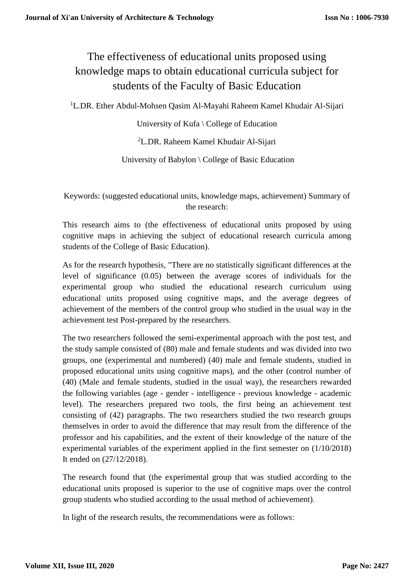# The effectiveness of educational units proposed using knowledge maps to obtain educational curricula subject for students of the Faculty of Basic Education

<sup>1</sup>L.DR. Ether Abdul-Mohsen Qasim Al-Mayahi Raheem Kamel Khudair Al-Sijari

University of Kufa \ College of Education

<sup>2</sup>L.DR. Raheem Kamel Khudair Al-Sijari

University of Babylon \ College of Basic Education

Keywords: (suggested educational units, knowledge maps, achievement) Summary of the research:

This research aims to (the effectiveness of educational units proposed by using cognitive maps in achieving the subject of educational research curricula among students of the College of Basic Education).

As for the research hypothesis, "There are no statistically significant differences at the level of significance (0.05) between the average scores of individuals for the experimental group who studied the educational research curriculum using educational units proposed using cognitive maps, and the average degrees of achievement of the members of the control group who studied in the usual way in the achievement test Post-prepared by the researchers.

The two researchers followed the semi-experimental approach with the post test, and the study sample consisted of (80) male and female students and was divided into two groups, one (experimental and numbered) (40) male and female students, studied in proposed educational units using cognitive maps), and the other (control number of (40) (Male and female students, studied in the usual way), the researchers rewarded the following variables (age - gender - intelligence - previous knowledge - academic level). The researchers prepared two tools, the first being an achievement test consisting of (42) paragraphs. The two researchers studied the two research groups themselves in order to avoid the difference that may result from the difference of the professor and his capabilities, and the extent of their knowledge of the nature of the experimental variables of the experiment applied in the first semester on (1/10/2018) It ended on (27/12/2018).

The research found that (the experimental group that was studied according to the educational units proposed is superior to the use of cognitive maps over the control group students who studied according to the usual method of achievement).

In light of the research results, the recommendations were as follows: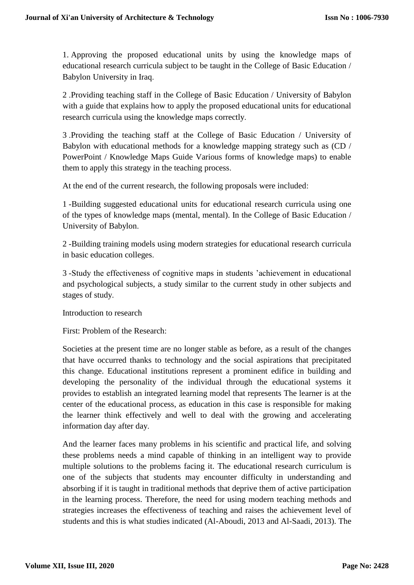1. Approving the proposed educational units by using the knowledge maps of educational research curricula subject to be taught in the College of Basic Education / Babylon University in Iraq.

2 .Providing teaching staff in the College of Basic Education / University of Babylon with a guide that explains how to apply the proposed educational units for educational research curricula using the knowledge maps correctly.

3 .Providing the teaching staff at the College of Basic Education / University of Babylon with educational methods for a knowledge mapping strategy such as (CD / PowerPoint / Knowledge Maps Guide Various forms of knowledge maps) to enable them to apply this strategy in the teaching process.

At the end of the current research, the following proposals were included:

1 -Building suggested educational units for educational research curricula using one of the types of knowledge maps (mental, mental). In the College of Basic Education / University of Babylon.

2 -Building training models using modern strategies for educational research curricula in basic education colleges.

3 -Study the effectiveness of cognitive maps in students 'achievement in educational and psychological subjects, a study similar to the current study in other subjects and stages of study.

Introduction to research

First: Problem of the Research:

Societies at the present time are no longer stable as before, as a result of the changes that have occurred thanks to technology and the social aspirations that precipitated this change. Educational institutions represent a prominent edifice in building and developing the personality of the individual through the educational systems it provides to establish an integrated learning model that represents The learner is at the center of the educational process, as education in this case is responsible for making the learner think effectively and well to deal with the growing and accelerating information day after day.

And the learner faces many problems in his scientific and practical life, and solving these problems needs a mind capable of thinking in an intelligent way to provide multiple solutions to the problems facing it. The educational research curriculum is one of the subjects that students may encounter difficulty in understanding and absorbing if it is taught in traditional methods that deprive them of active participation in the learning process. Therefore, the need for using modern teaching methods and strategies increases the effectiveness of teaching and raises the achievement level of students and this is what studies indicated (Al-Aboudi, 2013 and Al-Saadi, 2013). The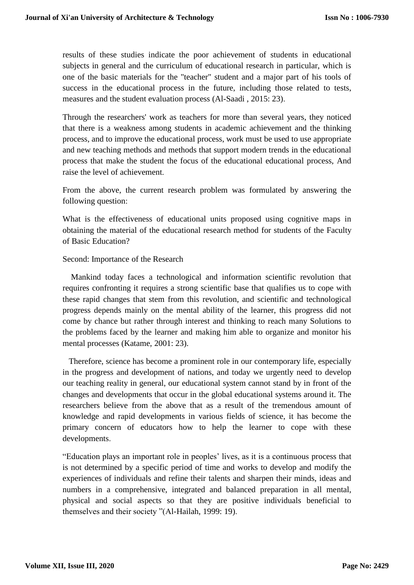results of these studies indicate the poor achievement of students in educational subjects in general and the curriculum of educational research in particular, which is one of the basic materials for the "teacher" student and a major part of his tools of success in the educational process in the future, including those related to tests, measures and the student evaluation process (Al-Saadi , 2015: 23).

Through the researchers' work as teachers for more than several years, they noticed that there is a weakness among students in academic achievement and the thinking process, and to improve the educational process, work must be used to use appropriate and new teaching methods and methods that support modern trends in the educational process that make the student the focus of the educational educational process, And raise the level of achievement.

From the above, the current research problem was formulated by answering the following question:

What is the effectiveness of educational units proposed using cognitive maps in obtaining the material of the educational research method for students of the Faculty of Basic Education?

#### Second: Importance of the Research

Mankind today faces a technological and information scientific revolution that requires confronting it requires a strong scientific base that qualifies us to cope with these rapid changes that stem from this revolution, and scientific and technological progress depends mainly on the mental ability of the learner, this progress did not come by chance but rather through interest and thinking to reach many Solutions to the problems faced by the learner and making him able to organize and monitor his mental processes (Katame, 2001: 23).

Therefore, science has become a prominent role in our contemporary life, especially in the progress and development of nations, and today we urgently need to develop our teaching reality in general, our educational system cannot stand by in front of the changes and developments that occur in the global educational systems around it. The researchers believe from the above that as a result of the tremendous amount of knowledge and rapid developments in various fields of science, it has become the primary concern of educators how to help the learner to cope with these developments.

"Education plays an important role in peoples' lives, as it is a continuous process that is not determined by a specific period of time and works to develop and modify the experiences of individuals and refine their talents and sharpen their minds, ideas and numbers in a comprehensive, integrated and balanced preparation in all mental, physical and social aspects so that they are positive individuals beneficial to themselves and their society "(Al-Hailah, 1999: 19).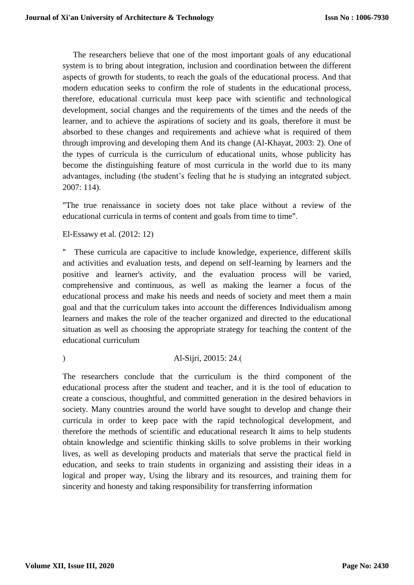The researchers believe that one of the most important goals of any educational system is to bring about integration, inclusion and coordination between the different aspects of growth for students, to reach the goals of the educational process. And that modern education seeks to confirm the role of students in the educational process, therefore, educational curricula must keep pace with scientific and technological development, social changes and the requirements of the times and the needs of the learner, and to achieve the aspirations of society and its goals, therefore it must be absorbed to these changes and requirements and achieve what is required of them through improving and developing them And its change (Al-Khayat, 2003: 2). One of the types of curricula is the curriculum of educational units, whose publicity has become the distinguishing feature of most curricula in the world due to its many advantages, including (the student's feeling that he is studying an integrated subject. 2007: 114).

"The true renaissance in society does not take place without a review of the educational curricula in terms of content and goals from time to time".

El-Essawy et al. (2012: 12)

" These curricula are capacitive to include knowledge, experience, different skills and activities and evaluation tests, and depend on self-learning by learners and the positive and learner's activity, and the evaluation process will be varied, comprehensive and continuous, as well as making the learner a focus of the educational process and make his needs and needs of society and meet them a main goal and that the curriculum takes into account the differences Individualism among learners and makes the role of the teacher organized and directed to the educational situation as well as choosing the appropriate strategy for teaching the content of the educational curriculum

(a) Al-Sijri, 20015: 24.

The researchers conclude that the curriculum is the third component of the educational process after the student and teacher, and it is the tool of education to create a conscious, thoughtful, and committed generation in the desired behaviors in society. Many countries around the world have sought to develop and change their curricula in order to keep pace with the rapid technological development, and therefore the methods of scientific and educational research It aims to help students obtain knowledge and scientific thinking skills to solve problems in their working lives, as well as developing products and materials that serve the practical field in education, and seeks to train students in organizing and assisting their ideas in a logical and proper way, Using the library and its resources, and training them for sincerity and honesty and taking responsibility for transferring information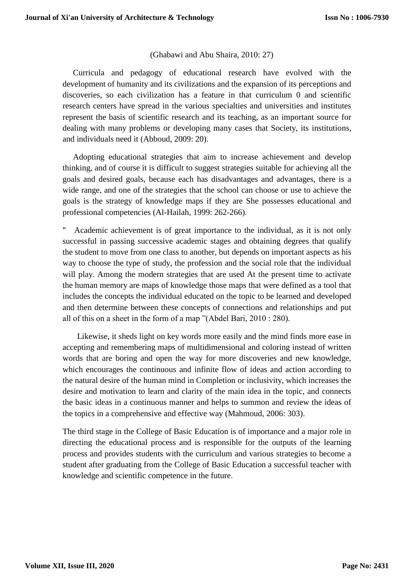# (Ghabawi and Abu Shaira, 2010: 27)

Curricula and pedagogy of educational research have evolved with the development of humanity and its civilizations and the expansion of its perceptions and discoveries, so each civilization has a feature in that curriculum 0 and scientific research centers have spread in the various specialties and universities and institutes represent the basis of scientific research and its teaching, as an important source for dealing with many problems or developing many cases that Society, its institutions, and individuals need it (Abboud, 2009: 20).

Adopting educational strategies that aim to increase achievement and develop thinking, and of course it is difficult to suggest strategies suitable for achieving all the goals and desired goals, because each has disadvantages and advantages, there is a wide range, and one of the strategies that the school can choose or use to achieve the goals is the strategy of knowledge maps if they are She possesses educational and professional competencies (Al-Hailah, 1999: 262-266).

Academic achievement is of great importance to the individual, as it is not only successful in passing successive academic stages and obtaining degrees that qualify the student to move from one class to another, but depends on important aspects as his way to choose the type of study, the profession and the social role that the individual will play. Among the modern strategies that are used At the present time to activate the human memory are maps of knowledge those maps that were defined as a tool that includes the concepts the individual educated on the topic to be learned and developed and then determine between these concepts of connections and relationships and put all of this on a sheet in the form of a map "(Abdel Bari, 2010 : 280).

Likewise, it sheds light on key words more easily and the mind finds more ease in accepting and remembering maps of multidimensional and coloring instead of written words that are boring and open the way for more discoveries and new knowledge, which encourages the continuous and infinite flow of ideas and action according to the natural desire of the human mind in Completion or inclusivity, which increases the desire and motivation to learn and clarity of the main idea in the topic, and connects the basic ideas in a continuous manner and helps to summon and review the ideas of the topics in a comprehensive and effective way (Mahmoud, 2006: 303).

The third stage in the College of Basic Education is of importance and a major role in directing the educational process and is responsible for the outputs of the learning process and provides students with the curriculum and various strategies to become a student after graduating from the College of Basic Education a successful teacher with knowledge and scientific competence in the future.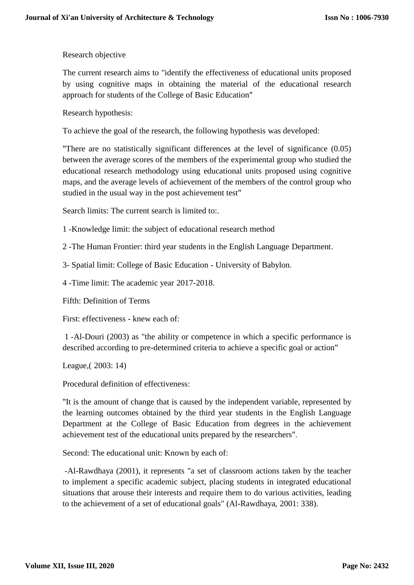# Research objective

The current research aims to "identify the effectiveness of educational units proposed by using cognitive maps in obtaining the material of the educational research approach for students of the College of Basic Education"

Research hypothesis:

To achieve the goal of the research, the following hypothesis was developed:

"There are no statistically significant differences at the level of significance (0.05) between the average scores of the members of the experimental group who studied the educational research methodology using educational units proposed using cognitive maps, and the average levels of achievement of the members of the control group who studied in the usual way in the post achievement test"

Search limits: The current search is limited to:.

1 -Knowledge limit: the subject of educational research method

2 -The Human Frontier: third year students in the English Language Department.

3- Spatial limit: College of Basic Education - University of Babylon.

4 -Time limit: The academic year 2017-2018.

Fifth: Definition of Terms

First: effectiveness - knew each of:

1 -Al-Douri (2003) as "the ability or competence in which a specific performance is described according to pre-determined criteria to achieve a specific goal or action"

League,( 2003: 14)

Procedural definition of effectiveness:

"It is the amount of change that is caused by the independent variable, represented by the learning outcomes obtained by the third year students in the English Language Department at the College of Basic Education from degrees in the achievement achievement test of the educational units prepared by the researchers".

Second: The educational unit: Known by each of:

-Al-Rawdhaya (2001), it represents "a set of classroom actions taken by the teacher to implement a specific academic subject, placing students in integrated educational situations that arouse their interests and require them to do various activities, leading to the achievement of a set of educational goals" (Al-Rawdhaya, 2001: 338).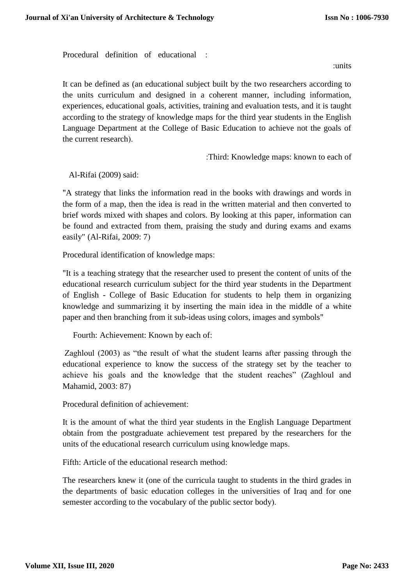Procedural definition of educational :

:units

It can be defined as (an educational subject built by the two researchers according to the units curriculum and designed in a coherent manner, including information, experiences, educational goals, activities, training and evaluation tests, and it is taught according to the strategy of knowledge maps for the third year students in the English Language Department at the College of Basic Education to achieve not the goals of the current research).

:Third: Knowledge maps: known to each of

Al-Rifai (2009) said:

"A strategy that links the information read in the books with drawings and words in the form of a map, then the idea is read in the written material and then converted to brief words mixed with shapes and colors. By looking at this paper, information can be found and extracted from them, praising the study and during exams and exams easily" (Al-Rifai, 2009: 7)

Procedural identification of knowledge maps:

"It is a teaching strategy that the researcher used to present the content of units of the educational research curriculum subject for the third year students in the Department of English - College of Basic Education for students to help them in organizing knowledge and summarizing it by inserting the main idea in the middle of a white paper and then branching from it sub-ideas using colors, images and symbols"

Fourth: Achievement: Known by each of:

Zaghloul (2003) as "the result of what the student learns after passing through the educational experience to know the success of the strategy set by the teacher to achieve his goals and the knowledge that the student reaches" (Zaghloul and Mahamid, 2003: 87)

Procedural definition of achievement:

It is the amount of what the third year students in the English Language Department obtain from the postgraduate achievement test prepared by the researchers for the units of the educational research curriculum using knowledge maps.

Fifth: Article of the educational research method:

The researchers knew it (one of the curricula taught to students in the third grades in the departments of basic education colleges in the universities of Iraq and for one semester according to the vocabulary of the public sector body).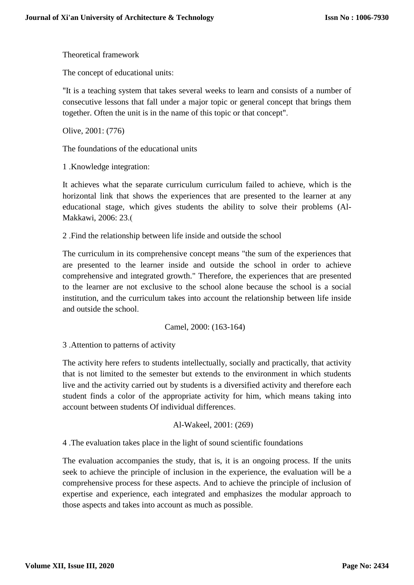Theoretical framework

The concept of educational units:

"It is a teaching system that takes several weeks to learn and consists of a number of consecutive lessons that fall under a major topic or general concept that brings them together. Often the unit is in the name of this topic or that concept".

Olive, 2001: (776)

The foundations of the educational units

1 .Knowledge integration:

It achieves what the separate curriculum curriculum failed to achieve, which is the horizontal link that shows the experiences that are presented to the learner at any educational stage, which gives students the ability to solve their problems (Al-Makkawi, 2006: 23.(

2 .Find the relationship between life inside and outside the school

The curriculum in its comprehensive concept means "the sum of the experiences that are presented to the learner inside and outside the school in order to achieve comprehensive and integrated growth." Therefore, the experiences that are presented to the learner are not exclusive to the school alone because the school is a social institution, and the curriculum takes into account the relationship between life inside and outside the school.

Camel, 2000: (163-164)

3 .Attention to patterns of activity

The activity here refers to students intellectually, socially and practically, that activity that is not limited to the semester but extends to the environment in which students live and the activity carried out by students is a diversified activity and therefore each student finds a color of the appropriate activity for him, which means taking into account between students Of individual differences.

#### Al-Wakeel, 2001: (269(

4 .The evaluation takes place in the light of sound scientific foundations

The evaluation accompanies the study, that is, it is an ongoing process. If the units seek to achieve the principle of inclusion in the experience, the evaluation will be a comprehensive process for these aspects. And to achieve the principle of inclusion of expertise and experience, each integrated and emphasizes the modular approach to those aspects and takes into account as much as possible.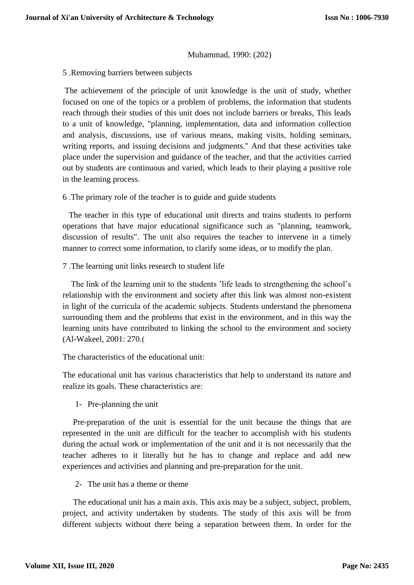## Muhammad, 1990: (202)

5 .Removing barriers between subjects

The achievement of the principle of unit knowledge is the unit of study, whether focused on one of the topics or a problem of problems, the information that students reach through their studies of this unit does not include barriers or breaks, This leads to a unit of knowledge, "planning, implementation, data and information collection and analysis, discussions, use of various means, making visits, holding seminars, writing reports, and issuing decisions and judgments." And that these activities take place under the supervision and guidance of the teacher, and that the activities carried out by students are continuous and varied, which leads to their playing a positive role in the learning process.

6 .The primary role of the teacher is to guide and guide students

The teacher in this type of educational unit directs and trains students to perform operations that have major educational significance such as "planning, teamwork, discussion of results". The unit also requires the teacher to intervene in a timely manner to correct some information, to clarify some ideas, or to modify the plan.

7 .The learning unit links research to student life

The link of the learning unit to the students 'life leads to strengthening the school's relationship with the environment and society after this link was almost non-existent in light of the curricula of the academic subjects. Students understand the phenomena surrounding them and the problems that exist in the environment, and in this way the learning units have contributed to linking the school to the environment and society (Al-Wakeel, 2001: 270.)

The characteristics of the educational unit:

The educational unit has various characteristics that help to understand its nature and realize its goals. These characteristics are:

1- Pre-planning the unit

Pre-preparation of the unit is essential for the unit because the things that are represented in the unit are difficult for the teacher to accomplish with his students during the actual work or implementation of the unit and it is not necessarily that the teacher adheres to it literally but he has to change and replace and add new experiences and activities and planning and pre-preparation for the unit.

2- The unit has a theme or theme

The educational unit has a main axis. This axis may be a subject, subject, problem, project, and activity undertaken by students. The study of this axis will be from different subjects without there being a separation between them. In order for the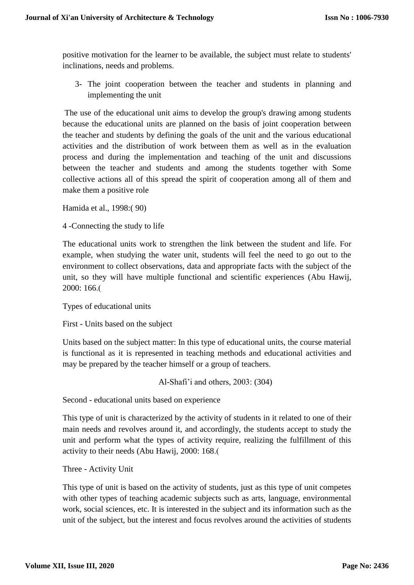positive motivation for the learner to be available, the subject must relate to students' inclinations, needs and problems.

3- The joint cooperation between the teacher and students in planning and implementing the unit

The use of the educational unit aims to develop the group's drawing among students because the educational units are planned on the basis of joint cooperation between the teacher and students by defining the goals of the unit and the various educational activities and the distribution of work between them as well as in the evaluation process and during the implementation and teaching of the unit and discussions between the teacher and students and among the students together with Some collective actions all of this spread the spirit of cooperation among all of them and make them a positive role

Hamida et al., 1998:( 90)

4 -Connecting the study to life

The educational units work to strengthen the link between the student and life. For example, when studying the water unit, students will feel the need to go out to the environment to collect observations, data and appropriate facts with the subject of the unit, so they will have multiple functional and scientific experiences (Abu Hawij, 2000: 166.)

Types of educational units

First - Units based on the subject

Units based on the subject matter: In this type of educational units, the course material is functional as it is represented in teaching methods and educational activities and may be prepared by the teacher himself or a group of teachers.

Al-Shafi'i and others, 2003: (304)

Second - educational units based on experience

This type of unit is characterized by the activity of students in it related to one of their main needs and revolves around it, and accordingly, the students accept to study the unit and perform what the types of activity require, realizing the fulfillment of this activity to their needs (Abu Hawij, 2000: 168.)

Three - Activity Unit

This type of unit is based on the activity of students, just as this type of unit competes with other types of teaching academic subjects such as arts, language, environmental work, social sciences, etc. It is interested in the subject and its information such as the unit of the subject, but the interest and focus revolves around the activities of students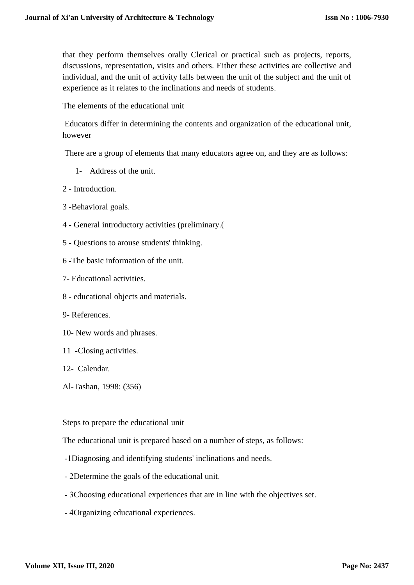that they perform themselves orally Clerical or practical such as projects, reports, discussions, representation, visits and others. Either these activities are collective and individual, and the unit of activity falls between the unit of the subject and the unit of experience as it relates to the inclinations and needs of students.

The elements of the educational unit

Educators differ in determining the contents and organization of the educational unit, however

There are a group of elements that many educators agree on, and they are as follows:

- 1- Address of the unit.
- 2 Introduction.
- 3 -Behavioral goals.
- 4 General introductory activities (preliminary.)
- 5 Questions to arouse students' thinking.
- 6 -The basic information of the unit.
- 7- Educational activities.
- 8 educational objects and materials.
- 9- References.
- 10- New words and phrases.
- 11 -Closing activities.
- 12- Calendar.
- Al-Tashan, 1998: (356)

# Steps to prepare the educational unit

The educational unit is prepared based on a number of steps, as follows:

- -1Diagnosing and identifying students' inclinations and needs.
- 2Determine the goals of the educational unit.
- 3Choosing educational experiences that are in line with the objectives set.
- 4Organizing educational experiences.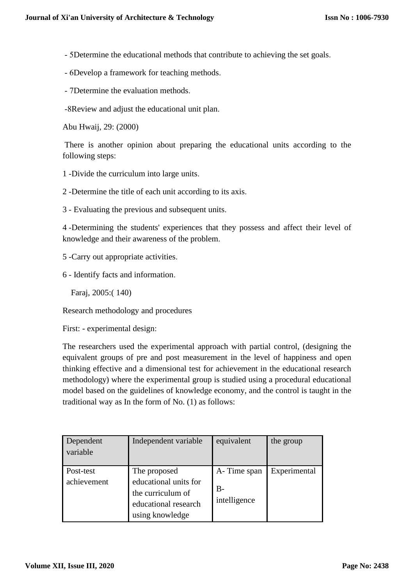- 5Determine the educational methods that contribute to achieving the set goals.
- 6Develop a framework for teaching methods.
- 7Determine the evaluation methods.
- -8Review and adjust the educational unit plan.

Abu Hwaij, 29: (2000)

There is another opinion about preparing the educational units according to the following steps:

- 1 -Divide the curriculum into large units.
- 2 -Determine the title of each unit according to its axis.
- 3 Evaluating the previous and subsequent units.

4 -Determining the students' experiences that they possess and affect their level of knowledge and their awareness of the problem.

- 5 -Carry out appropriate activities.
- 6 Identify facts and information.

Faraj, 2005:( 140)

Research methodology and procedures

First: - experimental design:

The researchers used the experimental approach with partial control, (designing the equivalent groups of pre and post measurement in the level of happiness and open thinking effective and a dimensional test for achievement in the educational research methodology) where the experimental group is studied using a procedural educational model based on the guidelines of knowledge economy, and the control is taught in the traditional way as In the form of No. (1) as follows:

| Dependent<br>variable    | Independent variable                                                                                  | equivalent                           | the group    |
|--------------------------|-------------------------------------------------------------------------------------------------------|--------------------------------------|--------------|
| Post-test<br>achievement | The proposed<br>educational units for<br>the curriculum of<br>educational research<br>using knowledge | A-Time span<br>$B -$<br>intelligence | Experimental |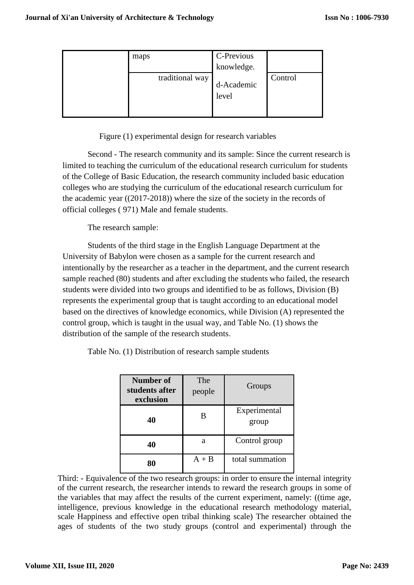| maps            | C-Previous          |         |
|-----------------|---------------------|---------|
|                 | knowledge.          |         |
| traditional way | d-Academic<br>level | Control |

Figure (1) experimental design for research variables

Second - The research community and its sample: Since the current research is limited to teaching the curriculum of the educational research curriculum for students of the College of Basic Education, the research community included basic education colleges who are studying the curriculum of the educational research curriculum for the academic year ((2017-2018)) where the size of the society in the records of official colleges ( 971) Male and female students.

The research sample:

Students of the third stage in the English Language Department at the University of Babylon were chosen as a sample for the current research and intentionally by the researcher as a teacher in the department, and the current research sample reached (80) students and after excluding the students who failed, the research students were divided into two groups and identified to be as follows, Division (B) represents the experimental group that is taught according to an educational model based on the directives of knowledge economics, while Division (A) represented the control group, which is taught in the usual way, and Table No. (1) shows the distribution of the sample of the research students.

|  | Table No. (1) Distribution of research sample students |  |  |
|--|--------------------------------------------------------|--|--|
|  |                                                        |  |  |

| Number of<br>students after<br>exclusion | The<br>people | Groups                |
|------------------------------------------|---------------|-----------------------|
| 40                                       | В             | Experimental<br>group |
| 40                                       | a             | Control group         |
|                                          | $A + B$       | total summation       |

Third: - Equivalence of the two research groups: in order to ensure the internal integrity of the current research, the researcher intends to reward the research groups in some of the variables that may affect the results of the current experiment, namely: ((time age, intelligence, previous knowledge in the educational research methodology material, scale Happiness and effective open tribal thinking scale) The researcher obtained the ages of students of the two study groups (control and experimental) through the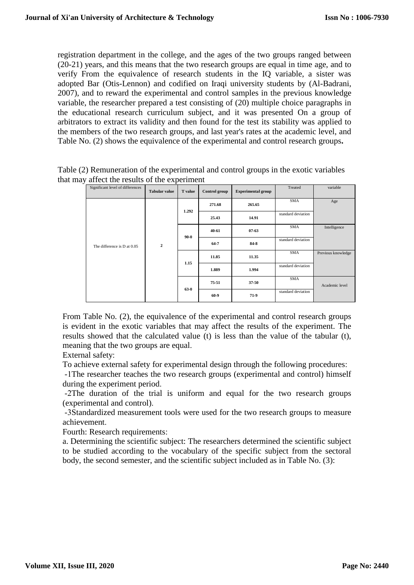registration department in the college, and the ages of the two groups ranged between (20-21) years, and this means that the two research groups are equal in time age, and to verify From the equivalence of research students in the IQ variable, a sister was adopted Bar (Otis-Lennon) and codified on Iraqi university students by (Al-Badrani, 2007), and to reward the experimental and control samples in the previous knowledge variable, the researcher prepared a test consisting of (20) multiple choice paragraphs in the educational research curriculum subject, and it was presented On a group of arbitrators to extract its validity and then found for the test its stability was applied to the members of the two research groups, and last year's rates at the academic level, and Table No. (2) shows the equivalence of the experimental and control research groups**.**

|  | Significant level of differences | <b>Tabular value</b> | <b>T</b> value | Control group | <b>Experimental group</b> | Treated                          | variable           |
|--|----------------------------------|----------------------|----------------|---------------|---------------------------|----------------------------------|--------------------|
|  |                                  |                      | 1.292          | 271.68        | 265.65                    | <b>SMA</b>                       | Age                |
|  |                                  |                      |                | 25.43         | 14.91                     | standard deviation               |                    |
|  | The difference is D at 0.05      |                      |                | 40.61         | 07.63                     | <b>SMA</b>                       | Intelligence       |
|  |                                  | $\overline{2}$       | 90.0           | 64.7          | 84.8                      | standard deviation<br><b>SMA</b> |                    |
|  |                                  |                      | 1.15           | 11.85         | 11.35                     |                                  | Previous knowledge |
|  |                                  |                      |                | 1.889         | 1.994                     | standard deviation               |                    |
|  |                                  |                      |                | 75:51         | 37.50                     | <b>SMA</b>                       | Academic level     |
|  |                                  |                      | 63.0           | 60.9          | 71.9                      | standard deviation               |                    |

Table (2) Remuneration of the experimental and control groups in the exotic variables that may affect the results of the experiment

From Table No. (2), the equivalence of the experimental and control research groups is evident in the exotic variables that may affect the results of the experiment. The results showed that the calculated value (t) is less than the value of the tabular (t), meaning that the two groups are equal.

External safety:

To achieve external safety for experimental design through the following procedures:

-1The researcher teaches the two research groups (experimental and control) himself during the experiment period.

-2The duration of the trial is uniform and equal for the two research groups (experimental and control).

-3Standardized measurement tools were used for the two research groups to measure achievement.

Fourth: Research requirements:

a. Determining the scientific subject: The researchers determined the scientific subject to be studied according to the vocabulary of the specific subject from the sectoral body, the second semester, and the scientific subject included as in Table No. (3):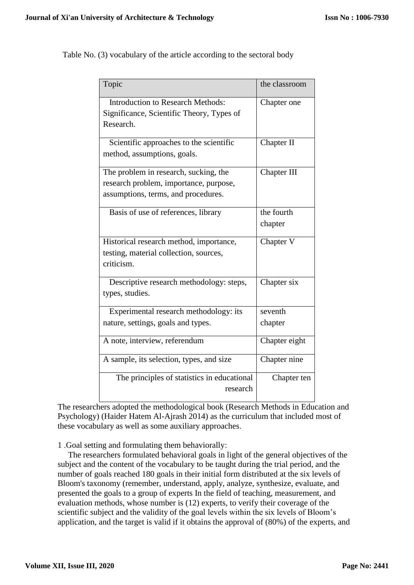| <b>Introduction to Research Methods:</b><br>Chapter one<br>Significance, Scientific Theory, Types of<br>Research.<br>Scientific approaches to the scientific<br>Chapter II<br>method, assumptions, goals.<br>The problem in research, sucking, the<br>Chapter III<br>research problem, importance, purpose,<br>assumptions, terms, and procedures.<br>Basis of use of references, library<br>the fourth<br>chapter<br>Chapter V<br>Historical research method, importance,<br>testing, material collection, sources,<br>criticism.<br>Descriptive research methodology: steps,<br>Chapter six<br>types, studies.<br>Experimental research methodology: its<br>seventh<br>nature, settings, goals and types.<br>chapter<br>A note, interview, referendum<br>Chapter eight<br>A sample, its selection, types, and size<br>Chapter nine<br>The principles of statistics in educational<br>Chapter ten<br>research | I opic | the classition |
|----------------------------------------------------------------------------------------------------------------------------------------------------------------------------------------------------------------------------------------------------------------------------------------------------------------------------------------------------------------------------------------------------------------------------------------------------------------------------------------------------------------------------------------------------------------------------------------------------------------------------------------------------------------------------------------------------------------------------------------------------------------------------------------------------------------------------------------------------------------------------------------------------------------|--------|----------------|
|                                                                                                                                                                                                                                                                                                                                                                                                                                                                                                                                                                                                                                                                                                                                                                                                                                                                                                                |        |                |
|                                                                                                                                                                                                                                                                                                                                                                                                                                                                                                                                                                                                                                                                                                                                                                                                                                                                                                                |        |                |
|                                                                                                                                                                                                                                                                                                                                                                                                                                                                                                                                                                                                                                                                                                                                                                                                                                                                                                                |        |                |
|                                                                                                                                                                                                                                                                                                                                                                                                                                                                                                                                                                                                                                                                                                                                                                                                                                                                                                                |        |                |
|                                                                                                                                                                                                                                                                                                                                                                                                                                                                                                                                                                                                                                                                                                                                                                                                                                                                                                                |        |                |
|                                                                                                                                                                                                                                                                                                                                                                                                                                                                                                                                                                                                                                                                                                                                                                                                                                                                                                                |        |                |
|                                                                                                                                                                                                                                                                                                                                                                                                                                                                                                                                                                                                                                                                                                                                                                                                                                                                                                                |        |                |
|                                                                                                                                                                                                                                                                                                                                                                                                                                                                                                                                                                                                                                                                                                                                                                                                                                                                                                                |        |                |
|                                                                                                                                                                                                                                                                                                                                                                                                                                                                                                                                                                                                                                                                                                                                                                                                                                                                                                                |        |                |
|                                                                                                                                                                                                                                                                                                                                                                                                                                                                                                                                                                                                                                                                                                                                                                                                                                                                                                                |        |                |

Topic the classroom

Table No. (3) vocabulary of the article according to the sectoral body

The researchers adopted the methodological book (Research Methods in Education and Psychology) (Haider Hatem Al-Ajrash 2014) as the curriculum that included most of these vocabulary as well as some auxiliary approaches.

1 .Goal setting and formulating them behaviorally:

The researchers formulated behavioral goals in light of the general objectives of the subject and the content of the vocabulary to be taught during the trial period, and the number of goals reached 180 goals in their initial form distributed at the six levels of Bloom's taxonomy (remember, understand, apply, analyze, synthesize, evaluate, and presented the goals to a group of experts In the field of teaching, measurement, and evaluation methods, whose number is (12) experts, to verify their coverage of the scientific subject and the validity of the goal levels within the six levels of Bloom's application, and the target is valid if it obtains the approval of (80%) of the experts, and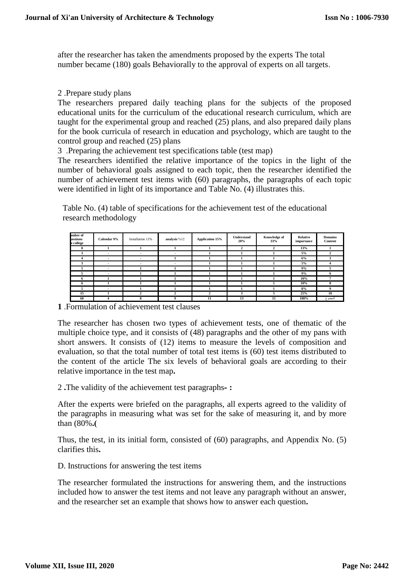after the researcher has taken the amendments proposed by the experts The total number became (180) goals Behaviorally to the approval of experts on all targets.

## 2 .Prepare study plans

The researchers prepared daily teaching plans for the subjects of the proposed educational units for the curriculum of the educational research curriculum, which are taught for the experimental group and reached (25) plans, and also prepared daily plans for the book curricula of research in education and psychology, which are taught to the control group and reached (25) plans

3 .Preparing the achievement test specifications table (test map)

The researchers identified the relative importance of the topics in the light of the number of behavioral goals assigned to each topic, then the researcher identified the number of achievement test items with (60) paragraphs, the paragraphs of each topic were identified in light of its importance and Table No. (4) illustrates this.

Table No. (4) table of specifications for the achievement test of the educational research methodology

| imber of<br>uestions<br>e college | Calendar 9% | Installation 11%         | analysis %12             | <b>Application 15%</b> | Understand<br>20% | Knowledge of<br>33% | Relative<br>importance | <b>Domains</b><br>Content |
|-----------------------------------|-------------|--------------------------|--------------------------|------------------------|-------------------|---------------------|------------------------|---------------------------|
| 8                                 |             |                          |                          |                        | $\mathbf{2}$      | $\overline{2}$      | 13%                    |                           |
| 3                                 | $\sim$      | $\overline{\phantom{a}}$ | $\overline{\phantom{a}}$ |                        |                   |                     | $5\%$                  |                           |
| 4                                 | $\sim$      | $\sim$                   |                          |                        |                   |                     | 6%                     | э                         |
| 3                                 |             | $\overline{\phantom{a}}$ | ۰                        |                        |                   |                     | 5%                     |                           |
| 5                                 | $\sim$      |                          |                          |                        |                   |                     | 9%                     | ,                         |
| 5                                 | $\sim$      |                          |                          |                        |                   |                     | 9%                     | n.                        |
| $\mathbf{r}$                      |             |                          |                          |                        |                   |                     | 10%                    |                           |
| n                                 |             |                          |                          |                        |                   |                     | 10%                    | x                         |
| 5.                                |             |                          |                          |                        |                   |                     | 8%                     | 9                         |
| 15                                |             |                          | 2                        | 2                      | 3                 | 5                   | 25%                    | 10                        |
| 60                                | 4           | 8                        | 9                        | 11                     | 13                | 15                  | 100%                   | المجموع                   |

**1** .Formulation of achievement test clauses

The researcher has chosen two types of achievement tests, one of thematic of the multiple choice type, and it consists of (48) paragraphs and the other of my pans with short answers. It consists of (12) items to measure the levels of composition and evaluation, so that the total number of total test items is (60) test items distributed to the content of the article The six levels of behavioral goals are according to their relative importance in the test map**.**

2 **.**The validity of the achievement test paragraphs**- :**

After the experts were briefed on the paragraphs, all experts agreed to the validity of the paragraphs in measuring what was set for the sake of measuring it, and by more than (80%**.)**

Thus, the test, in its initial form, consisted of (60) paragraphs, and Appendix No. (5) clarifies this**.**

D. Instructions for answering the test items

The researcher formulated the instructions for answering them, and the instructions included how to answer the test items and not leave any paragraph without an answer, and the researcher set an example that shows how to answer each question**.**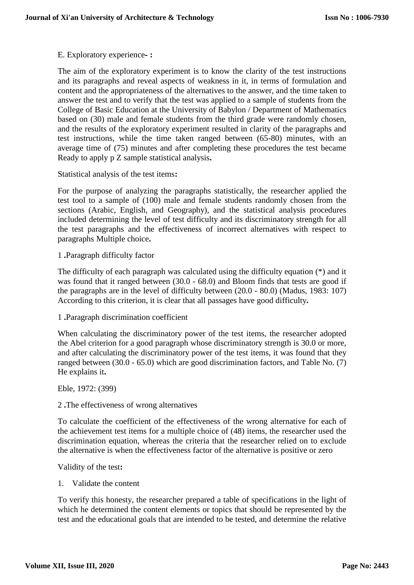## E. Exploratory experience**- :**

The aim of the exploratory experiment is to know the clarity of the test instructions and its paragraphs and reveal aspects of weakness in it, in terms of formulation and content and the appropriateness of the alternatives to the answer, and the time taken to answer the test and to verify that the test was applied to a sample of students from the College of Basic Education at the University of Babylon / Department of Mathematics based on (30) male and female students from the third grade were randomly chosen, and the results of the exploratory experiment resulted in clarity of the paragraphs and test instructions, while the time taken ranged between (65-80) minutes, with an average time of (75) minutes and after completing these procedures the test became Ready to apply p Z sample statistical analysis**.**

Statistical analysis of the test items**:**

For the purpose of analyzing the paragraphs statistically, the researcher applied the test tool to a sample of (100) male and female students randomly chosen from the sections (Arabic, English, and Geography), and the statistical analysis procedures included determining the level of test difficulty and its discriminatory strength for all the test paragraphs and the effectiveness of incorrect alternatives with respect to paragraphs Multiple choice**.**

1 **.**Paragraph difficulty factor

The difficulty of each paragraph was calculated using the difficulty equation (\*) and it was found that it ranged between (30.0 - 68.0) and Bloom finds that tests are good if the paragraphs are in the level of difficulty between (20.0 - 80.0) (Madus, 1983: 107) According to this criterion, it is clear that all passages have good difficulty**.**

1 **.**Paragraph discrimination coefficient

When calculating the discriminatory power of the test items, the researcher adopted the Abel criterion for a good paragraph whose discriminatory strength is 30.0 or more, and after calculating the discriminatory power of the test items, it was found that they ranged between (30.0 - 65.0) which are good discrimination factors, and Table No. (7) He explains it**.**

Eble, 1972: (399)

2 **.**The effectiveness of wrong alternatives

To calculate the coefficient of the effectiveness of the wrong alternative for each of the achievement test items for a multiple choice of (48) items, the researcher used the discrimination equation, whereas the criteria that the researcher relied on to exclude the alternative is when the effectiveness factor of the alternative is positive or zero

Validity of the test**:**

1. Validate the content

To verify this honesty, the researcher prepared a table of specifications in the light of which he determined the content elements or topics that should be represented by the test and the educational goals that are intended to be tested, and determine the relative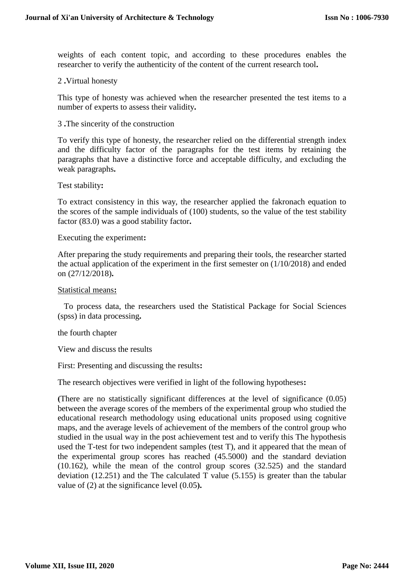weights of each content topic, and according to these procedures enables the researcher to verify the authenticity of the content of the current research tool**.**

## 2 **.**Virtual honesty

This type of honesty was achieved when the researcher presented the test items to a number of experts to assess their validity**.**

#### 3 **.**The sincerity of the construction

To verify this type of honesty, the researcher relied on the differential strength index and the difficulty factor of the paragraphs for the test items by retaining the paragraphs that have a distinctive force and acceptable difficulty, and excluding the weak paragraphs**.**

#### Test stability**:**

To extract consistency in this way, the researcher applied the fakronach equation to the scores of the sample individuals of (100) students, so the value of the test stability factor (83.0) was a good stability factor**.**

#### Executing the experiment**:**

After preparing the study requirements and preparing their tools, the researcher started the actual application of the experiment in the first semester on (1/10/2018) and ended on (27/12/2018)**.**

#### Statistical means**:**

To process data, the researchers used the Statistical Package for Social Sciences (spss) in data processing**.**

the fourth chapter

View and discuss the results

First: Presenting and discussing the results**:**

The research objectives were verified in light of the following hypotheses**:**

**)**There are no statistically significant differences at the level of significance (0.05) between the average scores of the members of the experimental group who studied the educational research methodology using educational units proposed using cognitive maps, and the average levels of achievement of the members of the control group who studied in the usual way in the post achievement test and to verify this The hypothesis used the T-test for two independent samples (test T), and it appeared that the mean of the experimental group scores has reached (45.5000) and the standard deviation (10.162), while the mean of the control group scores (32.525) and the standard deviation (12.251) and the The calculated T value (5.155) is greater than the tabular value of (2) at the significance level (0.05**(.**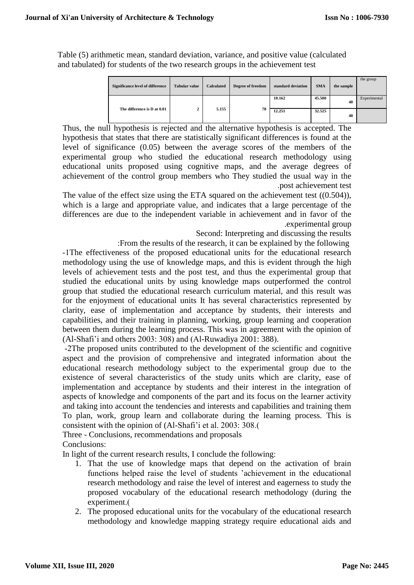Table (5) arithmetic mean, standard deviation, variance, and positive value (calculated and tabulated) for students of the two research groups in the achievement test

| <b>Significance level of difference</b> | <b>Tabular value</b> | <b>Calculated</b> | Degree of freedom | standard deviation | <b>SMA</b> | the sample | the group    |
|-----------------------------------------|----------------------|-------------------|-------------------|--------------------|------------|------------|--------------|
|                                         |                      |                   |                   | 10.162             | 45.500     | 40         | Experimental |
| The difference is D at 0.01             | п.<br>∠              | 5.155             | 78                | 12.251             | 32.525     | 40         |              |

Thus, the null hypothesis is rejected and the alternative hypothesis is accepted. The hypothesis that states that there are statistically significant differences is found at the level of significance (0.05) between the average scores of the members of the experimental group who studied the educational research methodology using educational units proposed using cognitive maps, and the average degrees of achievement of the control group members who They studied the usual way in the .post achievement test

The value of the effect size using the ETA squared on the achievement test ((0.504)), which is a large and appropriate value, and indicates that a large percentage of the differences are due to the independent variable in achievement and in favor of the .experimental group

Second: Interpreting and discussing the results

:From the results of the research, it can be explained by the following

-1The effectiveness of the proposed educational units for the educational research methodology using the use of knowledge maps, and this is evident through the high levels of achievement tests and the post test, and thus the experimental group that studied the educational units by using knowledge maps outperformed the control group that studied the educational research curriculum material, and this result was for the enjoyment of educational units It has several characteristics represented by clarity, ease of implementation and acceptance by students, their interests and capabilities, and their training in planning, working, group learning and cooperation between them during the learning process. This was in agreement with the opinion of  $(Al\text{-}Shafi'i$  and others 2003: 308) and  $(Al\text{-}Ruwadiya 2001: 388).$ 

-2The proposed units contributed to the development of the scientific and cognitive aspect and the provision of comprehensive and integrated information about the educational research methodology subject to the experimental group due to the existence of several characteristics of the study units which are clarity, ease of implementation and acceptance by students and their interest in the integration of aspects of knowledge and components of the part and its focus on the learner activity and taking into account the tendencies and interests and capabilities and training them To plan, work, group learn and collaborate during the learning process. This is consistent with the opinion of (Al-Shafi'i et al. 2003: 308.)

Three - Conclusions, recommendations and proposals

Conclusions:

In light of the current research results, I conclude the following:

- 1. That the use of knowledge maps that depend on the activation of brain functions helped raise the level of students 'achievement in the educational research methodology and raise the level of interest and eagerness to study the proposed vocabulary of the educational research methodology (during the experiment.(
- 2. The proposed educational units for the vocabulary of the educational research methodology and knowledge mapping strategy require educational aids and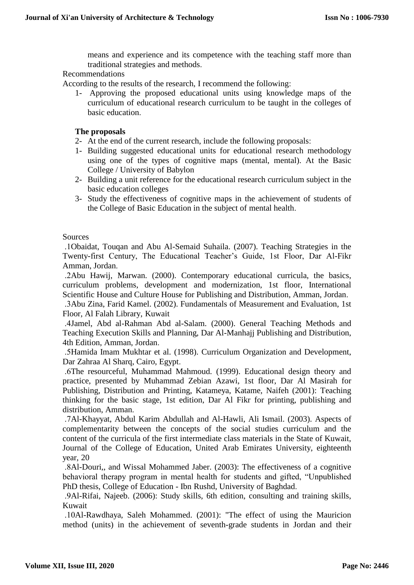means and experience and its competence with the teaching staff more than traditional strategies and methods.

Recommendations

According to the results of the research, I recommend the following:

1- Approving the proposed educational units using knowledge maps of the curriculum of educational research curriculum to be taught in the colleges of basic education.

## **The proposals**

- 2- At the end of the current research, include the following proposals:
- 1- Building suggested educational units for educational research methodology using one of the types of cognitive maps (mental, mental). At the Basic College / University of Babylon
- 2- Building a unit reference for the educational research curriculum subject in the basic education colleges
- 3- Study the effectiveness of cognitive maps in the achievement of students of the College of Basic Education in the subject of mental health.

**Sources** 

 .1Obaidat, Touqan and Abu Al-Semaid Suhaila. (2007). Teaching Strategies in the Twenty-first Century, The Educational Teacher's Guide, 1st Floor, Dar Al-Fikr Amman, Jordan.

 .2Abu Hawij, Marwan. (2000). Contemporary educational curricula, the basics, curriculum problems, development and modernization, 1st floor, International Scientific House and Culture House for Publishing and Distribution, Amman, Jordan.

 .3Abu Zina, Farid Kamel. (2002). Fundamentals of Measurement and Evaluation, 1st Floor, Al Falah Library, Kuwait

 .4Jamel, Abd al-Rahman Abd al-Salam. (2000). General Teaching Methods and Teaching Execution Skills and Planning, Dar Al-Manhajj Publishing and Distribution, 4th Edition, Amman, Jordan.

 .5Hamida Imam Mukhtar et al. (1998). Curriculum Organization and Development, Dar Zahraa Al Sharq, Cairo, Egypt.

 .6The resourceful, Muhammad Mahmoud. (1999). Educational design theory and practice, presented by Muhammad Zebian Azawi, 1st floor, Dar Al Masirah for Publishing, Distribution and Printing, Katameya, Katame, Naifeh (2001): Teaching thinking for the basic stage, 1st edition, Dar Al Fikr for printing, publishing and distribution, Amman.

 .7Al-Khayyat, Abdul Karim Abdullah and Al-Hawli, Ali Ismail. (2003). Aspects of complementarity between the concepts of the social studies curriculum and the content of the curricula of the first intermediate class materials in the State of Kuwait, Journal of the College of Education, United Arab Emirates University, eighteenth year, 20

 .8Al-Douri,, and Wissal Mohammed Jaber. (2003): The effectiveness of a cognitive behavioral therapy program in mental health for students and gifted, "Unpublished PhD thesis, College of Education - Ibn Rushd, University of Baghdad.

 .9Al-Rifai, Najeeb. (2006): Study skills, 6th edition, consulting and training skills, Kuwait

 .10Al-Rawdhaya, Saleh Mohammed. (2001): "The effect of using the Mauricion method (units) in the achievement of seventh-grade students in Jordan and their